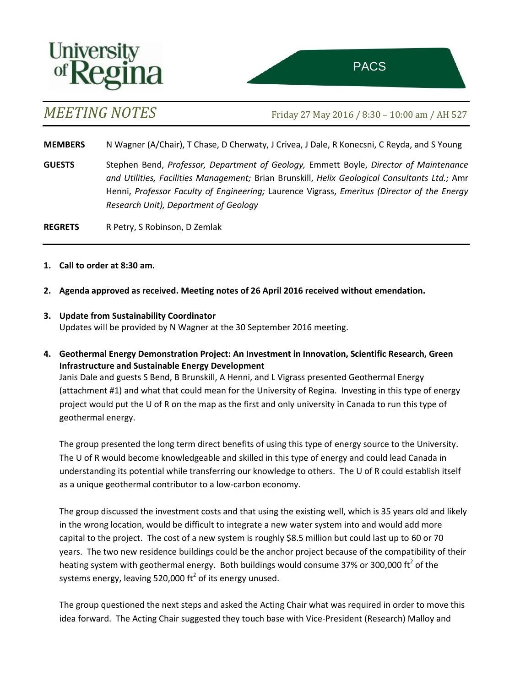

*MEETING NOTES* Friday <sup>27</sup> May <sup>2016</sup> / 8:30 – 10:00 am / AH 527 ttee on Sustainability of the Sustainability of the Sustainability of the Sustainability of the Sustainability

**MEMBERS** N Wagner (A/Chair), T Chase, D Cherwaty, J Crivea, J Dale, R Konecsni, C Reyda, and S Young

**GUESTS** Stephen Bend, *Professor, Department of Geology,* Emmett Boyle, *Director of Maintenance and Utilities, Facilities Management;* Brian Brunskill, *Helix Geological Consultants Ltd.;* Amr Henni, *Professor Faculty of Engineering;* Laurence Vigrass, *Emeritus (Director of the Energy Research Unit), Department of Geology*

**REGRETS** R Petry, S Robinson, D Zemlak

- **1. Call to order at 8:30 am.**
- **2. Agenda approved as received. Meeting notes of 26 April 2016 received without emendation.**
- **3. Update from Sustainability Coordinator** Updates will be provided by N Wagner at the 30 September 2016 meeting.
- **4. Geothermal Energy Demonstration Project: An Investment in Innovation, Scientific Research, Green Infrastructure and Sustainable Energy Development**

Janis Dale and guests S Bend, B Brunskill, A Henni, and L Vigrass presented Geothermal Energy (attachment #1) and what that could mean for the University of Regina. Investing in this type of energy project would put the U of R on the map as the first and only university in Canada to run this type of geothermal energy.

The group presented the long term direct benefits of using this type of energy source to the University. The U of R would become knowledgeable and skilled in this type of energy and could lead Canada in understanding its potential while transferring our knowledge to others. The U of R could establish itself as a unique geothermal contributor to a low-carbon economy.

The group discussed the investment costs and that using the existing well, which is 35 years old and likely in the wrong location, would be difficult to integrate a new water system into and would add more capital to the project. The cost of a new system is roughly \$8.5 million but could last up to 60 or 70 years. The two new residence buildings could be the anchor project because of the compatibility of their heating system with geothermal energy. Both buildings would consume 37% or 300,000 ft<sup>2</sup> of the systems energy, leaving 520,000 ft<sup>2</sup> of its energy unused.

The group questioned the next steps and asked the Acting Chair what was required in order to move this idea forward. The Acting Chair suggested they touch base with Vice-President (Research) Malloy and